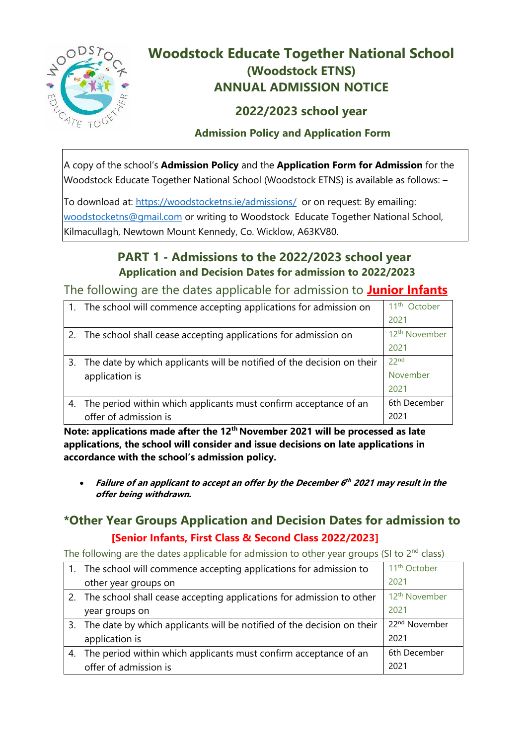

# **Woodstock Educate Together National School (Woodstock ETNS) ANNUAL ADMISSION NOTICE**

### **2022/2023 school year**

#### **Admission Policy and Application Form**

A copy of the school's **Admission Policy** and the **Application Form for Admission** for the Woodstock Educate Together National School (Woodstock ETNS) is available as follows: –

To download at:<https://woodstocketns.ie/admissions/>or on request: By emailing: [woodstocketns@gmail.com](mailto:woodstocketns@gmail.com) or writing to Woodstock Educate Together National School, Kilmacullagh, Newtown Mount Kennedy, Co. Wicklow, A63KV80.

## **PART 1 - Admissions to the 2022/2023 school year Application and Decision Dates for admission to 2022/2023**

The following are the dates applicable for admission to **Junior Infants**

|    | 1. The school will commence accepting applications for admission on    | 11 <sup>th</sup> October  |
|----|------------------------------------------------------------------------|---------------------------|
|    |                                                                        | 2021                      |
|    | 2. The school shall cease accepting applications for admission on      | 12 <sup>th</sup> November |
|    |                                                                        | 2021                      |
| 3. | The date by which applicants will be notified of the decision on their | 22 <sub>nd</sub>          |
|    | application is                                                         | November                  |
|    |                                                                        | 2021                      |
|    | The period within which applicants must confirm acceptance of an       | 6th December              |
|    | offer of admission is                                                  | 2021                      |

**Note: applications made after the 12th November 2021 will be processed as late applications, the school will consider and issue decisions on late applications in accordance with the school's admission policy.**

 **Failure of an applicant to accept an offer by the December 6 th <sup>2021</sup> may result in the offer being withdrawn.**

### **\*Other Year Groups Application and Decision Dates for admission to [Senior Infants, First Class & Second Class 2022/2023]**

The following are the dates applicable for admission to other year groups (SI to  $2<sup>nd</sup>$  class)

|    | 1. The school will commence accepting applications for admission to       | 11 <sup>th</sup> October  |
|----|---------------------------------------------------------------------------|---------------------------|
|    | other year groups on                                                      | 2021                      |
|    | 2. The school shall cease accepting applications for admission to other   | 12 <sup>th</sup> November |
|    | year groups on                                                            | 2021                      |
|    | 3. The date by which applicants will be notified of the decision on their | 22 <sup>nd</sup> November |
|    | application is                                                            | 2021                      |
| 4. | The period within which applicants must confirm acceptance of an          | 6th December              |
|    | offer of admission is                                                     | 2021                      |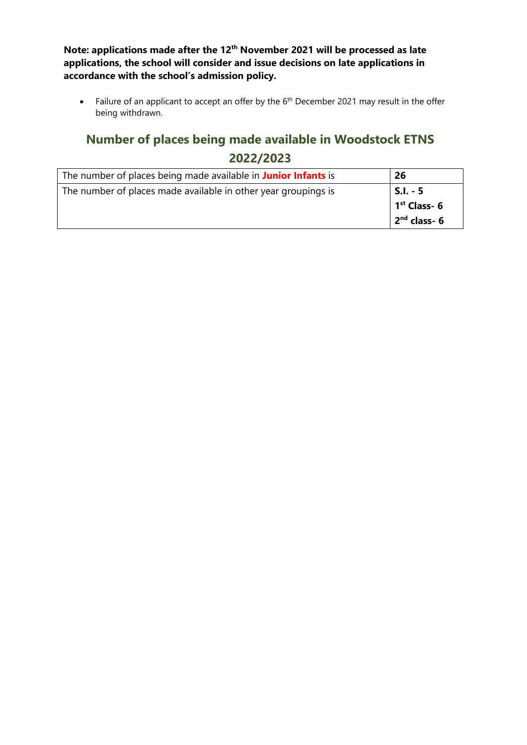**Note: applications made after the 12th November 2021 will be processed as late applications, the school will consider and issue decisions on late applications in accordance with the school's admission policy.**

• Failure of an applicant to accept an offer by the  $6<sup>th</sup>$  December 2021 may result in the offer being withdrawn.

# **Number of places being made available in Woodstock ETNS 2022/2023**

| The number of places being made available in Junior Infants is | 26              |
|----------------------------------------------------------------|-----------------|
| The number of places made available in other year groupings is | <b>S.I. - 5</b> |
|                                                                | $1st$ Class- 6  |
|                                                                | $2nd$ class- 6  |